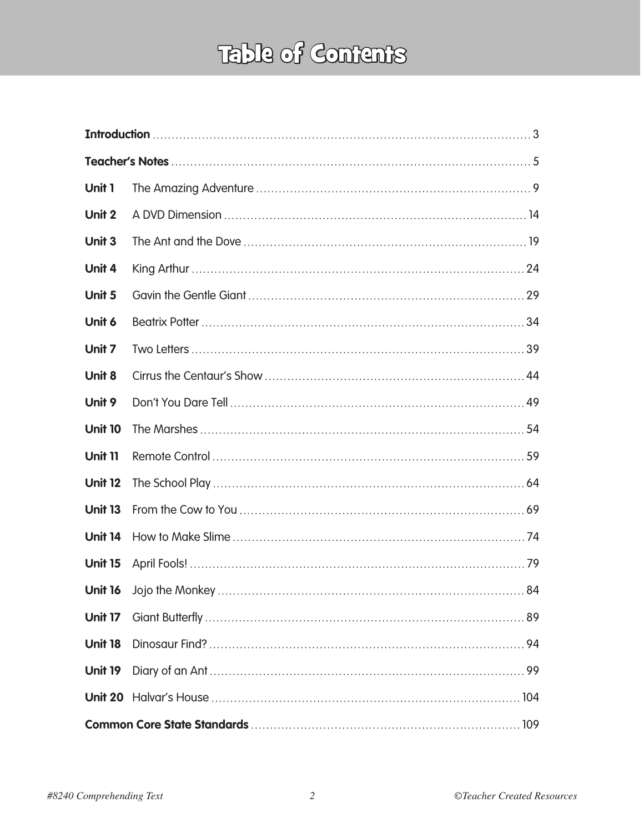## Table of Contents

| Unit 1         |  |  |  |
|----------------|--|--|--|
| Unit 2         |  |  |  |
| Unit 3         |  |  |  |
| Unit 4         |  |  |  |
| Unit 5         |  |  |  |
| Unit 6         |  |  |  |
| Unit 7         |  |  |  |
| Unit 8         |  |  |  |
| Unit 9         |  |  |  |
| <b>Unit 10</b> |  |  |  |
| <b>Unit 11</b> |  |  |  |
| <b>Unit 12</b> |  |  |  |
| <b>Unit 13</b> |  |  |  |
| <b>Unit 14</b> |  |  |  |
| <b>Unit 15</b> |  |  |  |
| Unit 16        |  |  |  |
| Unit 17        |  |  |  |
| <b>Unit 18</b> |  |  |  |
| <b>Unit 19</b> |  |  |  |
| <b>Unit 20</b> |  |  |  |
|                |  |  |  |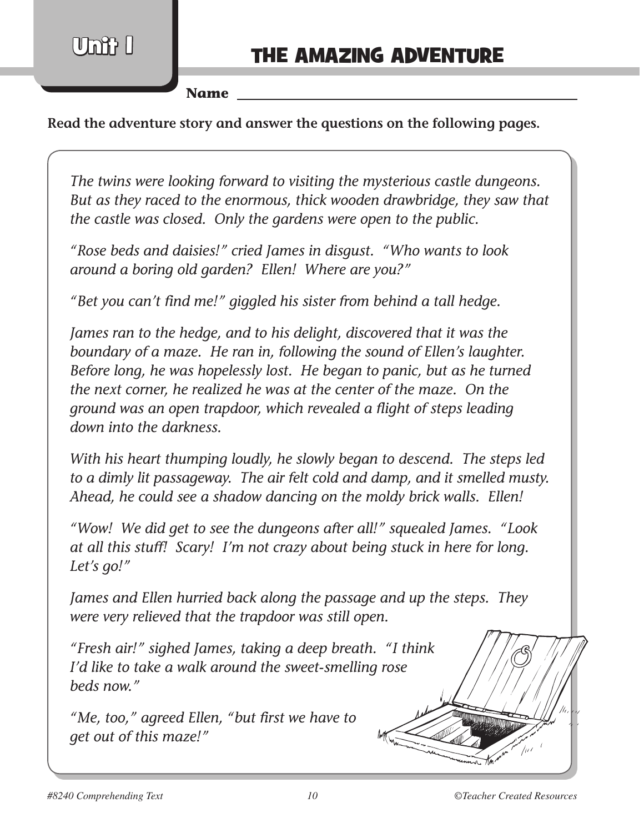**Name** 

## **Read the adventure story and answer the questions on the following pages.**

*The twins were looking forward to visiting the mysterious castle dungeons. But as they raced to the enormous, thick wooden drawbridge, they saw that the castle was closed. Only the gardens were open to the public.*

*"Rose beds and daisies!" cried James in disgust. "Who wants to look around a boring old garden? Ellen! Where are you?"*

*"Bet you can't find me!" giggled his sister from behind a tall hedge.*

*James ran to the hedge, and to his delight, discovered that it was the boundary of a maze. He ran in, following the sound of Ellen's laughter. Before long, he was hopelessly lost. He began to panic, but as he turned the next corner, he realized he was at the center of the maze. On the ground was an open trapdoor, which revealed a flight of steps leading down into the darkness.*

*With his heart thumping loudly, he slowly began to descend. The steps led to a dimly lit passageway. The air felt cold and damp, and it smelled musty. Ahead, he could see a shadow dancing on the moldy brick walls. Ellen!*

*"Wow! We did get to see the dungeons after all!" squealed James. "Look at all this stuff! Scary! I'm not crazy about being stuck in here for long. Let's go!"*

*James and Ellen hurried back along the passage and up the steps. They were very relieved that the trapdoor was still open.*

*"Fresh air!" sighed James, taking a deep breath. "I think I'd like to take a walk around the sweet-smelling rose beds now."*

*"Me, too," agreed Ellen, "but first we have to get out of this maze!"*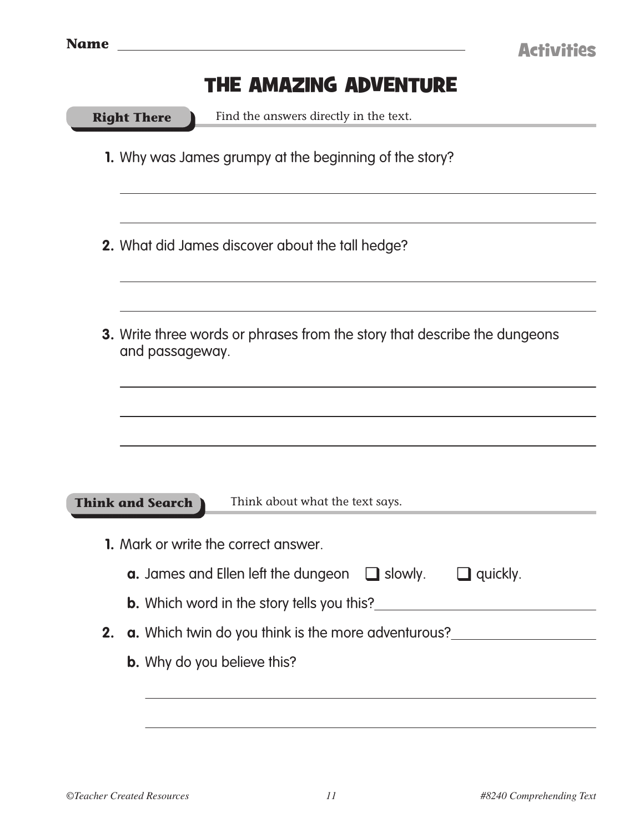| <b>Name</b>        |                                                                                              | <b>Activities</b> |
|--------------------|----------------------------------------------------------------------------------------------|-------------------|
|                    | <b>THE AMAZING ADVENTURE</b>                                                                 |                   |
| <b>Right There</b> | Find the answers directly in the text.                                                       |                   |
|                    | 1. Why was James grumpy at the beginning of the story?                                       |                   |
|                    | 2. What did James discover about the tall hedge?                                             |                   |
| and passageway.    | 3. Write three words or phrases from the story that describe the dungeons                    |                   |
|                    |                                                                                              |                   |
|                    | Think about what the text says.                                                              |                   |
|                    | <b>Think and Search</b>                                                                      |                   |
|                    | 1. Mark or write the correct answer.                                                         |                   |
|                    | <b>a.</b> James and Ellen left the dungeon $\Box$ slowly. $\Box$ quickly.                    |                   |
|                    |                                                                                              |                   |
|                    | 2. a. Which twin do you think is the more adventurous?<br><b>b.</b> Why do you believe this? |                   |
|                    |                                                                                              |                   |
|                    |                                                                                              |                   |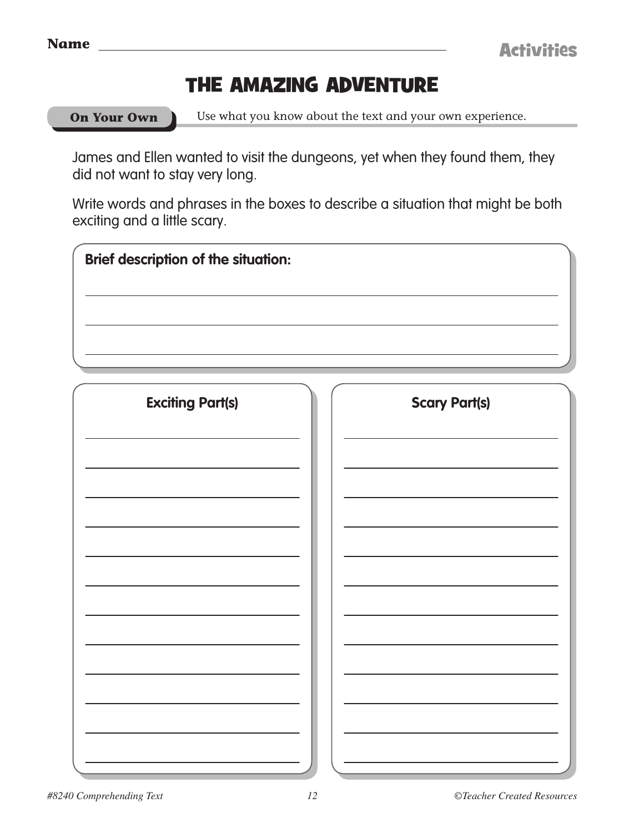## The Amazing Adventure

**On Your Own** Use what you know about the text and your own experience.

James and Ellen wanted to visit the dungeons, yet when they found them, they did not want to stay very long.

Write words and phrases in the boxes to describe a situation that might be both exciting and a little scary.

| <b>Brief description of the situation:</b> |                      |
|--------------------------------------------|----------------------|
|                                            |                      |
| <b>Exciting Part(s)</b>                    | <b>Scary Part(s)</b> |
|                                            |                      |
|                                            |                      |
|                                            |                      |
|                                            |                      |
|                                            |                      |
|                                            |                      |
|                                            |                      |

<u> 1980 - Johann Barbara, martin a</u>